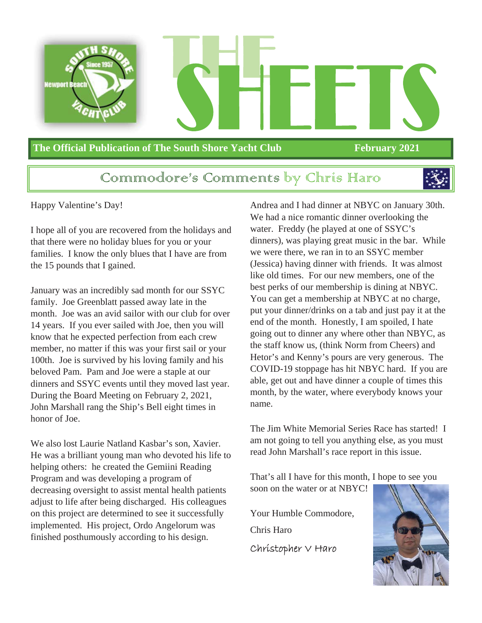

#### **The Official Publication of The South Shore Yacht Club February 2021**

### Communiodore's Communicats by Chris Haro



Happy Valentine's Day!

I hope all of you are recovered from the holidays and that there were no holiday blues for you or your families. I know the only blues that I have are from the 15 pounds that I gained.

January was an incredibly sad month for our SSYC family. Joe Greenblatt passed away late in the month. Joe was an avid sailor with our club for over 14 years. If you ever sailed with Joe, then you will know that he expected perfection from each crew member, no matter if this was your first sail or your 100th. Joe is survived by his loving family and his beloved Pam. Pam and Joe were a staple at our dinners and SSYC events until they moved last year. During the Board Meeting on February 2, 2021, John Marshall rang the Ship's Bell eight times in honor of Joe.

We also lost Laurie Natland Kasbar's son, Xavier. He was a brilliant young man who devoted his life to helping others: he created the Gemiini Reading Program and was developing a program of decreasing oversight to assist mental health patients adjust to life after being discharged. His colleagues on this project are determined to see it successfully implemented. His project, Ordo Angelorum was finished posthumously according to his design.

Andrea and I had dinner at NBYC on January 30th. We had a nice romantic dinner overlooking the water. Freddy (he played at one of SSYC's dinners), was playing great music in the bar. While we were there, we ran in to an SSYC member (Jessica) having dinner with friends. It was almost like old times. For our new members, one of the best perks of our membership is dining at NBYC. You can get a membership at NBYC at no charge, put your dinner/drinks on a tab and just pay it at the end of the month. Honestly, I am spoiled, I hate going out to dinner any where other than NBYC, as the staff know us, (think Norm from Cheers) and Hetor's and Kenny's pours are very generous. The COVID-19 stoppage has hit NBYC hard. If you are able, get out and have dinner a couple of times this month, by the water, where everybody knows your name.

The Jim White Memorial Series Race has started! I am not going to tell you anything else, as you must read John Marshall's race report in this issue.

That's all I have for this month, I hope to see you soon on the water or at NBYC!

Your Humble Commodore,

Chris Haro

Christopher V Haro

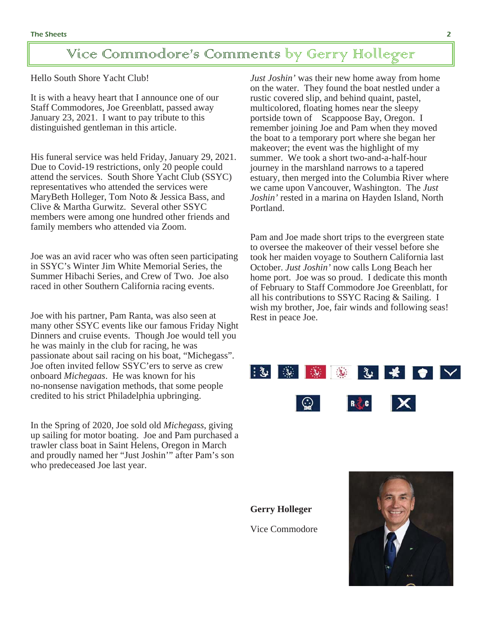### Vice Commodore's Comments by Gerry Holleger

Hello South Shore Yacht Club!

It is with a heavy heart that I announce one of our Staff Commodores, Joe Greenblatt, passed away January 23, 2021. I want to pay tribute to this distinguished gentleman in this article.

His funeral service was held Friday, January 29, 2021. Due to Covid-19 restrictions, only 20 people could attend the services. South Shore Yacht Club (SSYC) representatives who attended the services were MaryBeth Holleger, Tom Noto & Jessica Bass, and Clive & Martha Gurwitz. Several other SSYC members were among one hundred other friends and family members who attended via Zoom.

Joe was an avid racer who was often seen participating in SSYC's Winter Jim White Memorial Series, the Summer Hibachi Series, and Crew of Two. Joe also raced in other Southern California racing events.

Joe with his partner, Pam Ranta, was also seen at many other SSYC events like our famous Friday Night Dinners and cruise events. Though Joe would tell you he was mainly in the club for racing, he was passionate about sail racing on his boat, "Michegass". Joe often invited fellow SSYC'ers to serve as crew onboard *Michegaas*. He was known for his no-nonsense navigation methods, that some people credited to his strict Philadelphia upbringing.

In the Spring of 2020, Joe sold old *Michegass*, giving up sailing for motor boating. Joe and Pam purchased a trawler class boat in Saint Helens, Oregon in March and proudly named her "Just Joshin'" after Pam's son who predeceased Joe last year.

*Just Joshin'* was their new home away from home on the water. They found the boat nestled under a rustic covered slip, and behind quaint, pastel, multicolored, floating homes near the sleepy portside town of Scappoose Bay, Oregon. I remember joining Joe and Pam when they moved the boat to a temporary port where she began her makeover; the event was the highlight of my summer. We took a short two-and-a-half-hour journey in the marshland narrows to a tapered estuary, then merged into the Columbia River where we came upon Vancouver, Washington. The *Just Joshin'* rested in a marina on Hayden Island, North Portland.

Pam and Joe made short trips to the evergreen state to oversee the makeover of their vessel before she took her maiden voyage to Southern California last October. *Just Joshin'* now calls Long Beach her home port. Joe was so proud. I dedicate this month of February to Staff Commodore Joe Greenblatt, for all his contributions to SSYC Racing & Sailing. I wish my brother, Joe, fair winds and following seas! Rest in peace Joe.



**Gerry Holleger** Vice Commodore

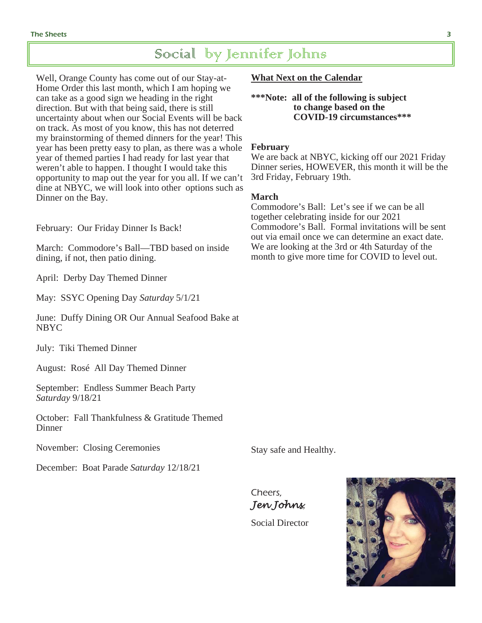### Social by Jennifer Johns

Well, Orange County has come out of our Stay-at-Home Order this last month, which I am hoping we can take as a good sign we heading in the right direction. But with that being said, there is still uncertainty about when our Social Events will be back on track. As most of you know, this has not deterred my brainstorming of themed dinners for the year! This year has been pretty easy to plan, as there was a whole year of themed parties I had ready for last year that weren't able to happen. I thought I would take this opportunity to map out the year for you all. If we can't dine at NBYC, we will look into other options such as Dinner on the Bay.

February: Our Friday Dinner Is Back!

March: Commodore's Ball—TBD based on inside dining, if not, then patio dining.

April: Derby Day Themed Dinner

May: SSYC Opening Day *Saturday* 5/1/21

June: Duffy Dining OR Our Annual Seafood Bake at NBYC

July: Tiki Themed Dinner

August: Rosé All Day Themed Dinner

September: Endless Summer Beach Party *Saturday* 9/18/21

October: Fall Thankfulness & Gratitude Themed **Dinner** 

November: Closing Ceremonies

December: Boat Parade *Saturday* 12/18/21

**What Next on the Calendar** 

**\*\*\*Note: all of the following is subject to change based on the COVID-19 circumstances\*\*\*** 

#### **February**

We are back at NBYC, kicking off our 2021 Friday Dinner series, HOWEVER, this month it will be the 3rd Friday, February 19th.

#### **March**

Commodore's Ball: Let's see if we can be all together celebrating inside for our 2021 Commodore's Ball. Formal invitations will be sent out via email once we can determine an exact date. We are looking at the 3rd or 4th Saturday of the month to give more time for COVID to level out.

Stay safe and Healthy.

Cheers, *Jen Johns*,

Social Director

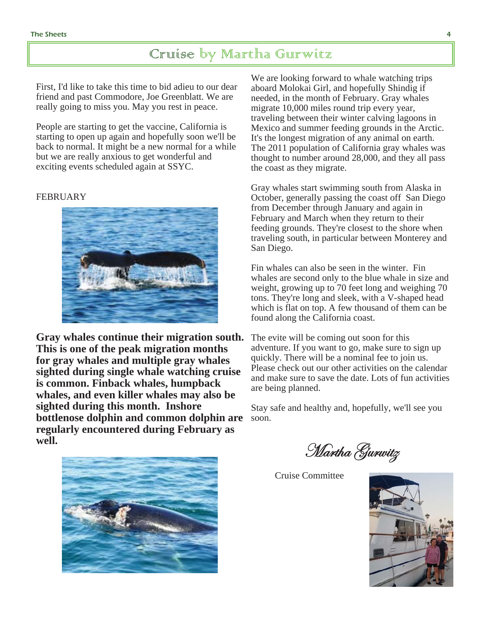### Cruise by Martha Gurwitz

First, I'd like to take this time to bid adieu to our dear friend and past Commodore, Joe Greenblatt. We are really going to miss you. May you rest in peace.

People are starting to get the vaccine, California is starting to open up again and hopefully soon we'll be back to normal. It might be a new normal for a while but we are really anxious to get wonderful and exciting events scheduled again at SSYC.

#### FEBRUARY



**Gray whales continue their migration south. This is one of the peak migration months for gray whales and multiple gray whales sighted during single whale watching cruise is common. Finback whales, humpback whales, and even killer whales may also be sighted during this month. Inshore bottlenose dolphin and common dolphin are regularly encountered during February as**   $well.$ 

We are looking forward to whale watching trips aboard Molokai Girl, and hopefully Shindig if needed, in the month of February. Gray whales migrate 10,000 miles round trip every year, traveling between their winter calving lagoons in Mexico and summer feeding grounds in the Arctic. It's the longest migration of any animal on earth. The 2011 population of California gray whales was thought to number around 28,000, and they all pass the coast as they migrate.

Gray whales start swimming south from Alaska in October, generally passing the coast off San Diego from December through January and again in February and March when they return to their feeding grounds. They're closest to the shore when traveling south, in particular between Monterey and San Diego.

Fin whales can also be seen in the winter. Fin whales are second only to the blue whale in size and weight, growing up to 70 feet long and weighing 70 tons. They're long and sleek, with a V-shaped head which is flat on top. A few thousand of them can be found along the California coast.

The evite will be coming out soon for this adventure. If you want to go, make sure to sign up quickly. There will be a nominal fee to join us. Please check out our other activities on the calendar and make sure to save the date. Lots of fun activities are being planned.

Stay safe and healthy and, hopefully, we'll see you soon.



Martha Gurwitz

Cruise Committee

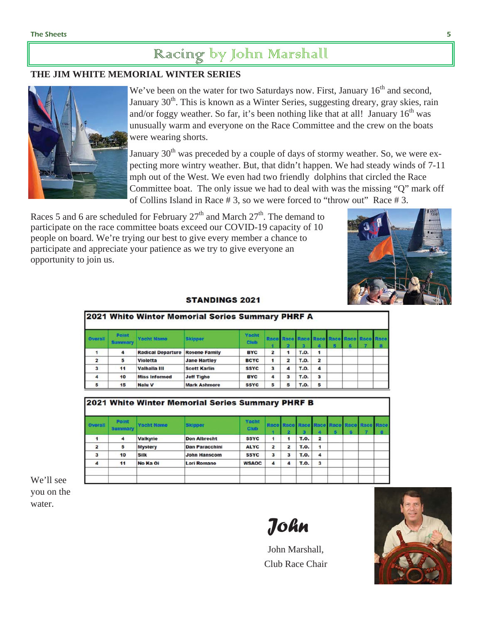## Racing by John Marshall

#### **THE JIM WHITE MEMORIAL WINTER SERIES**



We've been on the water for two Saturdays now. First, January  $16<sup>th</sup>$  and second, January 30<sup>th</sup>. This is known as a Winter Series, suggesting dreary, gray skies, rain and/or foggy weather. So far, it's been nothing like that at all! January  $16<sup>th</sup>$  was unusually warm and everyone on the Race Committee and the crew on the boats were wearing shorts.

January  $30<sup>th</sup>$  was preceded by a couple of days of stormy weather. So, we were expecting more wintry weather. But, that didn't happen. We had steady winds of 7-11 mph out of the West. We even had two friendly dolphins that circled the Race Committee boat. The only issue we had to deal with was the missing "Q" mark off of Collins Island in Race # 3, so we were forced to "throw out" Race # 3.

Races 5 and 6 are scheduled for February  $27<sup>th</sup>$  and March  $27<sup>th</sup>$ . The demand to participate on the race committee boats exceed our COVID-19 capacity of 10 people on board. We're trying our best to give every member a chance to participate and appreciate your patience as we try to give everyone an opportunity to join us.



#### **STANDINGS 2021**

|                | 2021 white winter Memorial Series Summary PHRF A |                          |                      |                      |                |                         |             |                         |  |  |
|----------------|--------------------------------------------------|--------------------------|----------------------|----------------------|----------------|-------------------------|-------------|-------------------------|--|--|
| <b>Overall</b> | Point<br>Summary                                 | <b>Yacht Name</b>        | <b>Skipper</b>       | Vacht<br><b>Club</b> | Race           |                         |             |                         |  |  |
|                | 4                                                | <b>Radical Departure</b> | <b>Rosene Family</b> | <b>BYC</b>           | $\overline{2}$ | 1                       | <b>T.O.</b> | 1                       |  |  |
| $\overline{a}$ | 5                                                | <b>Violetta</b>          | <b>Jane Hartley</b>  | <b>BCYC</b>          | 1              | $\overline{\mathbf{z}}$ | <b>T.O.</b> | $\overline{\mathbf{z}}$ |  |  |
| 3              | 11                                               | Valhalla III             | <b>Scott Karlin</b>  | <b>SSYC</b>          | 3              | 4                       | <b>T.O.</b> | 4                       |  |  |
| 4              | 10                                               | <b>Miss Informed</b>     | <b>Jeff Tighe</b>    | <b>BYC</b>           | 4              | 3                       | <b>T.O.</b> | 3                       |  |  |
|                | 15                                               | <b>Nalu V</b>            | <b>Mark Ashmore</b>  | <b>SSYC</b>          | 5              | 5                       | <b>T.O.</b> | 5                       |  |  |

| 2021 White Winter Memorial Series Summary PHRF B |                         |                   |                       |                      |                |                      |             |                         |         |  |
|--------------------------------------------------|-------------------------|-------------------|-----------------------|----------------------|----------------|----------------------|-------------|-------------------------|---------|--|
| Overall                                          | Point<br><b>Summary</b> | <b>Yacht Name</b> | <b>Skipper</b>        | Vacht<br><b>Club</b> | Race Race      | Ð                    | Racc<br>я   |                         | 6       |  |
|                                                  | 4                       | <b>Valkyrie</b>   | <b>Don Albrecht</b>   | <b>SSYC</b>          | 1              | $\blacktriangleleft$ | <b>T.O.</b> | $\overline{\mathbf{2}}$ | n provi |  |
| $\overline{\mathbf{z}}$                          | 5                       | <b>Mystery</b>    | <b>Dan Paracchini</b> | <b>ALYC</b>          | $\overline{a}$ | $\overline{2}$       | <b>T.O.</b> | $\mathbf{1}$            |         |  |
| 3                                                | 10                      | <b>Silk</b>       | <b>John Hanscom</b>   | <b>SSYC</b>          | 3              | 3                    | <b>T.O.</b> | 4                       |         |  |
| 4                                                | 11                      | No Ka Oi          | <b>Lori Romano</b>    | <b>WSAOC</b>         | 4              | 4                    | <b>T.O.</b> | 3                       |         |  |
|                                                  |                         |                   |                       |                      |                |                      |             |                         |         |  |
|                                                  |                         |                   |                       |                      |                |                      |             |                         |         |  |

We'll see you on the water.

*John*

John Marshall, Club Race Chair

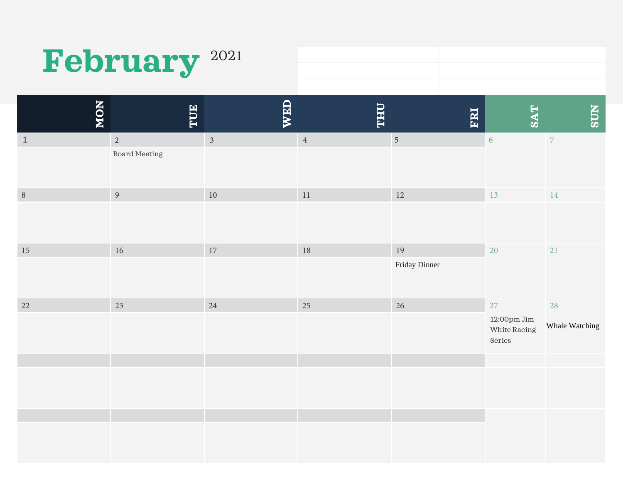# February<sup>2021</sup>

| NON    | <b>HUE</b>           | WED            | <b><i><u><b>OHL</b></u></i></b> | FRI           | <b>SAT</b>                                                                    | <b>NDS</b>     |
|--------|----------------------|----------------|---------------------------------|---------------|-------------------------------------------------------------------------------|----------------|
| $1\,$  | $\overline{2}$       | $\overline{3}$ | $\,4$                           | $\sqrt{5}$    | $\sqrt{6}$                                                                    | $\overline{7}$ |
|        | <b>Board Meeting</b> |                |                                 |               |                                                                               |                |
| $\, 8$ | $\overline{9}$       | $10\,$         | $11\,$                          | $12\,$        | 13                                                                            | 14             |
|        |                      |                |                                 |               |                                                                               |                |
| $15\,$ | $16\,$               | 17             | $18\,$                          | 19            | 20                                                                            | 21             |
|        |                      |                |                                 | Friday Dinner |                                                                               |                |
| 22     | 23                   | 24             | 25                              | 26            | 27                                                                            | 28             |
|        |                      |                |                                 |               | $12\mathord{:}\mathrm{O}\mathrm{Opm}\mathrm{\,Jim}$<br>White Racing<br>Series | Whale Watching |
|        |                      |                |                                 |               |                                                                               |                |
|        |                      |                |                                 |               |                                                                               |                |
|        |                      |                |                                 |               |                                                                               |                |
|        |                      |                |                                 |               |                                                                               |                |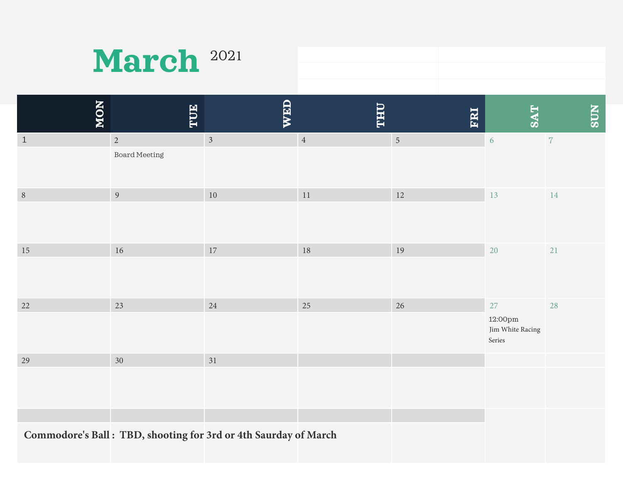| March <sup>2021</sup> |  |
|-----------------------|--|
|-----------------------|--|

| NON        | TUE                  | WED                                                             | <b><i><u><b>OHT</b></u></i></b> | FRI            | <b>SAT</b>                            | <b>NLOS</b> |
|------------|----------------------|-----------------------------------------------------------------|---------------------------------|----------------|---------------------------------------|-------------|
| $\,$ 1     | $\sqrt{2}$           | $\mathfrak{Z}$                                                  | $\sqrt{4}$                      | $\overline{5}$ | $6\,$                                 | $\,7$       |
|            | <b>Board Meeting</b> |                                                                 |                                 |                |                                       |             |
| $\sqrt{8}$ | $\overline{9}$       | $10\,$                                                          | $11\,$                          | 12             | 13                                    | 14          |
|            |                      |                                                                 |                                 |                |                                       |             |
| 15         | $16\,$               | $17\,$                                                          | 18                              | 19             | 20                                    | 21          |
|            |                      |                                                                 |                                 |                |                                       |             |
| 22         | 23                   | 24                                                              | 25                              | 26             | 27                                    | 28          |
|            |                      |                                                                 |                                 |                | 12:00pm<br>Jim White Racing<br>Series |             |
| 29         | 30                   | 31                                                              |                                 |                |                                       |             |
|            |                      |                                                                 |                                 |                |                                       |             |
|            |                      |                                                                 |                                 |                |                                       |             |
|            |                      | Commodore's Ball: TBD, shooting for 3rd or 4th Saurday of March |                                 |                |                                       |             |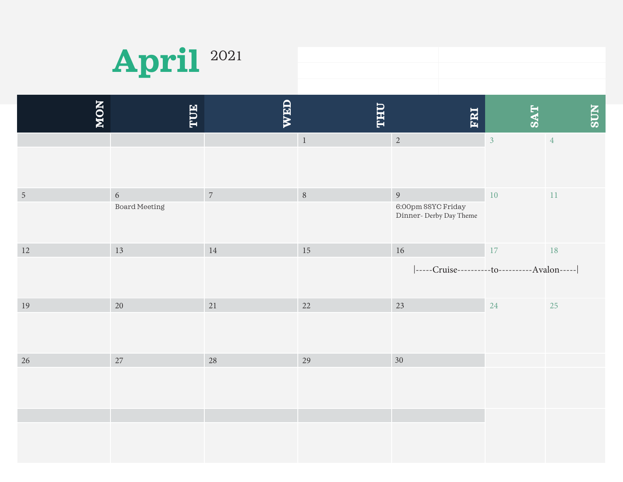

| 1 2021 |  |
|--------|--|
|        |  |
|        |  |

| NON            | <b>HUE</b>                  | WED            | <b><i><u><b>OHT</b></u></i></b> | ERI                                                             | <b>TAS</b>     | <b>SUN</b>     |
|----------------|-----------------------------|----------------|---------------------------------|-----------------------------------------------------------------|----------------|----------------|
|                |                             |                | $\overline{1}$                  | $\overline{2}$                                                  | $\overline{3}$ | $\overline{4}$ |
| $\overline{5}$ | $\sqrt{6}$<br>Board Meeting | $\overline{7}$ | 8                               | $\overline{9}$<br>6:00pm SSYC Friday<br>Dinner- Derby Day Theme | $10\,$         | $11\,$         |
| 12             | 13                          | $14\,$         | 15                              | $16\,$<br> -----Cruise----------to----------Avalon-----         | $17\,$         | 18             |
| 19             | $20\,$                      | 21             | 22                              | 23                                                              | 24             | 25             |
| 26             | $27\,$                      | 28             | 29                              | 30                                                              |                |                |
|                |                             |                |                                 |                                                                 |                |                |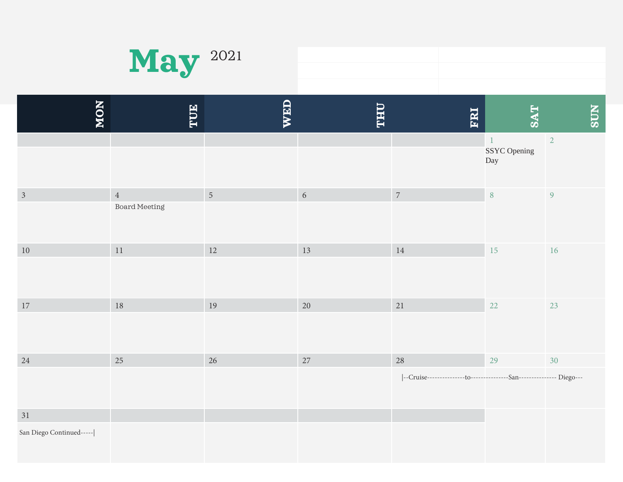

| $-2021$ |  |
|---------|--|
|         |  |
|         |  |

| NON                            | TUE                             | WED             | <b>LHL</b> | ERI                                                                         | <b>SAT</b>                          | <b>NDS</b>     |
|--------------------------------|---------------------------------|-----------------|------------|-----------------------------------------------------------------------------|-------------------------------------|----------------|
|                                |                                 |                 |            |                                                                             | $\mathbf{1}$<br>SSYC Opening<br>Day | $\overline{2}$ |
| $\mathfrak{Z}$                 | $\overline{4}$<br>Board Meeting | $5\overline{)}$ | $\sqrt{6}$ | $\,7$                                                                       | $\, 8$                              | $\overline{9}$ |
| $10\,$                         | $11\,$                          | $12\,$          | $13\,$     | 14                                                                          | 15                                  | $16\,$         |
| $17\,$                         | $18\,$                          | 19              | $20\,$     | 21                                                                          | 22                                  | $23\,$         |
| $24\,$                         | 25                              | 26              | 27         | 28<br> --Cruise---------------to---------------San---------------- Diego--- | 29                                  | 30             |
| 31<br>San Diego Continued----- |                                 |                 |            |                                                                             |                                     |                |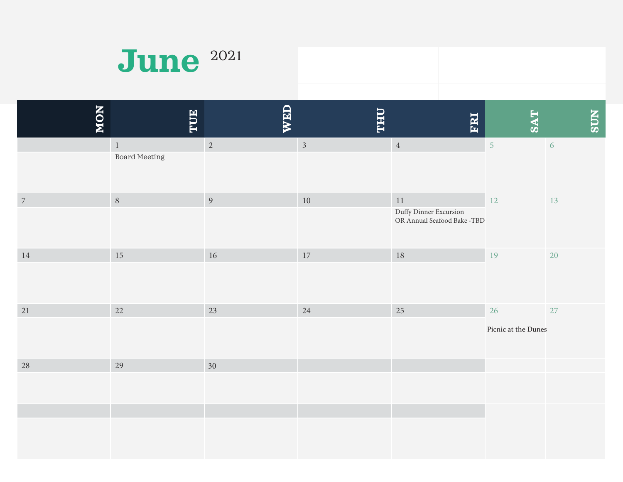| <b>June</b> 2021 |  |
|------------------|--|
|                  |  |

| NON              | TUE                             | WED            | <b>LHT</b>     | ERI                                                             | <b>SAT</b>                | <b>NLOS</b> |
|------------------|---------------------------------|----------------|----------------|-----------------------------------------------------------------|---------------------------|-------------|
|                  | $\,1\,$<br><b>Board Meeting</b> | $\overline{2}$ | $\mathfrak{Z}$ | $\sqrt{4}$                                                      | 5                         | 6           |
| $\boldsymbol{7}$ | $\, 8$                          | $\overline{9}$ | $10\,$         | $11\,$<br>Duffy Dinner Excursion<br>OR Annual Seafood Bake -TBD | $12\,$                    | 13          |
| $14\,$           | 15                              | 16             | 17             | 18                                                              | 19                        | 20          |
| $21\,$           | 22                              | 23             | 24             | 25                                                              | 26<br>Picnic at the Dunes | 27          |
| 28               | 29                              | 30             |                |                                                                 |                           |             |
|                  |                                 |                |                |                                                                 |                           |             |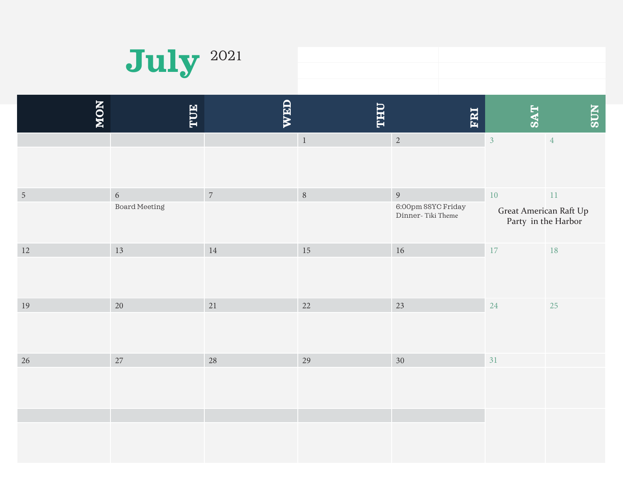

| 2021 |  |
|------|--|
|      |  |
|      |  |

| NON            | TUE                           | WED            | <b><i><u><b>OHT</b></u></i></b> | ERI                                                       | <b>TAS</b>                       | <b>NDS</b>                    |
|----------------|-------------------------------|----------------|---------------------------------|-----------------------------------------------------------|----------------------------------|-------------------------------|
|                |                               |                | $\,$ 1 $\,$                     | $\overline{2}$                                            | $\overline{3}$                   | $\overline{4}$                |
| $\overline{5}$ | $6\,$<br><b>Board Meeting</b> | $\overline{7}$ | $\, 8$                          | $\overline{9}$<br>6:00pm SSYC Friday<br>Dinner-Tiki Theme | $10\,$<br>Great American Raft Up | $11\,$<br>Party in the Harbor |
| $12\,$         | 13                            | $14\,$         | $15\,$                          | $16\,$                                                    | 17                               | $18\,$                        |
| 19             | $20\,$                        | 21             | 22                              | 23                                                        | 24                               | 25                            |
| $26\,$         | 27                            | $28\,$         | 29                              | 30                                                        | 31                               |                               |
|                |                               |                |                                 |                                                           |                                  |                               |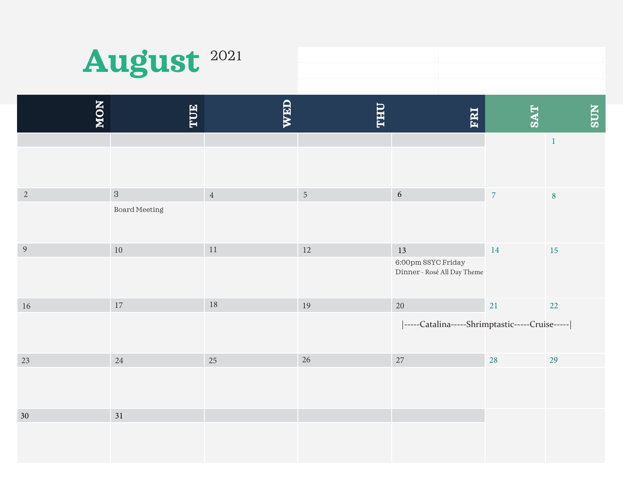

| NON            | TUE                           | <b>WED</b>     | <b>THU</b>     | ERI                                                       | <b>SAT</b> | <b>SUN</b>   |
|----------------|-------------------------------|----------------|----------------|-----------------------------------------------------------|------------|--------------|
|                |                               |                |                |                                                           |            | $\mathbf{1}$ |
| $\overline{2}$ | $\mathbf{3}$<br>Board Meeting | $\overline{4}$ | $\overline{5}$ | $\sqrt{6}$                                                | $\sqrt{7}$ | $\bf 8$      |
| 9              | $10\,$                        | $11\,$         | $12\,$         | 13<br>6:00pm SSYC Friday<br>Dinner - Rosé All Day Theme   | $14\,$     | 15           |
| 16             | 17                            | 18             | 19             | $20\,$<br> -----Catalina-----Shrimptastic-----Cruise----- | 21         | 22           |
| 23             | $24\,$                        | 25             | 26             | $27\,$                                                    | 28         | 29           |
| 30             | 31                            |                |                |                                                           |            |              |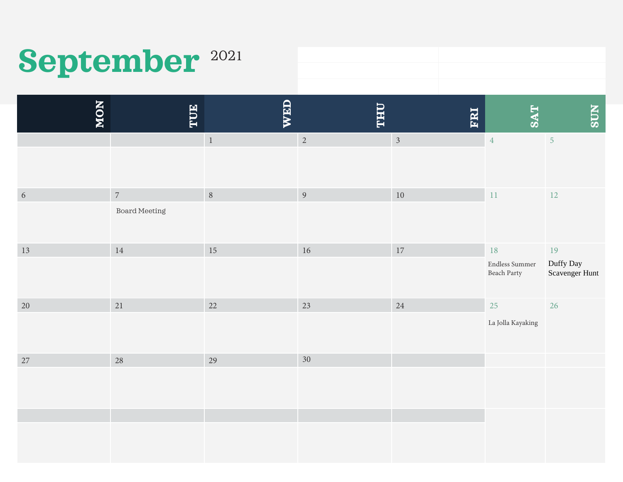# September<sup>2021</sup>

**MON TUE WED THU FRI SAT SUN**   $\mathbf{1}$ 1 and 1 and 1  $\sqrt{2}$  and 1  $\sqrt{3}$  and 1  $\sqrt{4}$  and 1  $\sqrt{5}$ 6 6 and 10 and 11 and 12 and 10 and 10 and 11 and 12 and 12 and 12 and 12 and 12 and 12 and 12 and 12 and 12 and 12 and 12 and 12 and 12 and 12 and 12 and 12 and 12 and 12 and 12 and 12 and 12 and 12 and 12 and 12 and 12 an 13 3 and 14 and 15 and 16 and 17 and 18 and 18 and 19 and 19 and 19 and 19 and 19 and 19 and 19 and 19 and 19 and 19 and 19 and 19 and 19 and 19 and 19 and 19 and 19 and 19 and 19 and 19 and 19 and 19 and 19 and 19 and 19 an 20 0 and 1 and 21 and 22 and 23 and 24 and 25 and 25 and 26 and 26 and 25 and 26 and 26 and 26 and 26 and 26 and 26 and 26 and 26 and 26 and 26 and 26 and 26 and 26 and 26 and 26 and 26 and 26 and 26 and 26 and 27 and 27 and 27  $7 \hspace{2.5cm} 28 \hspace{2.5cm} 29 \hspace{2.5cm} 30$ Board Meeting La Jolla Kayaking Endless Summer Beach Party Duffy Day Scavenger Hunt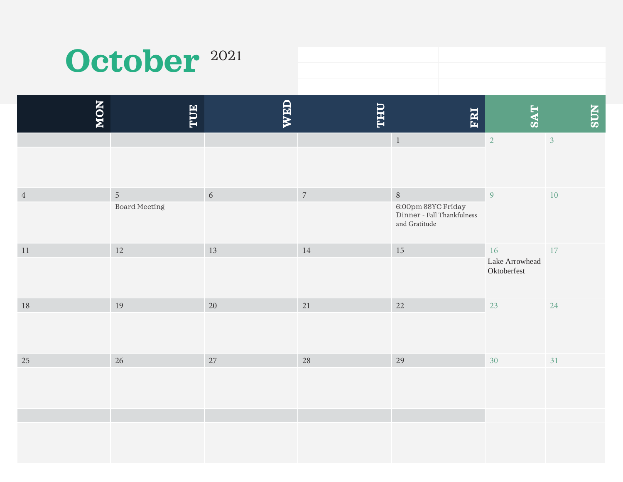# October<sup>2021</sup>

| NON            | TUE                                | WED        | <b>THU</b> | ERI                                                                         | <b>SAT</b>                          | <b>NDS</b>     |
|----------------|------------------------------------|------------|------------|-----------------------------------------------------------------------------|-------------------------------------|----------------|
|                |                                    |            |            | $\,1\,$                                                                     | $\overline{2}$                      | $\overline{3}$ |
| $\overline{4}$ | $\sqrt{5}$<br><b>Board Meeting</b> | $\sqrt{6}$ | $\sqrt{7}$ | $\, 8$<br>6:00pm SSYC Friday<br>Dinner - Fall Thankfulness<br>and Gratitude | $\overline{9}$                      | $10\,$         |
| $11\,$         | $12\,$                             | 13         | $14\,$     | 15                                                                          | 16<br>Lake Arrowhead<br>Oktoberfest | 17             |
| $18\,$         | 19                                 | $20\,$     | 21         | 22                                                                          | 23                                  | 24             |
| 25             | 26                                 | 27         | 28         | 29                                                                          | 30                                  | 31             |
|                |                                    |            |            |                                                                             |                                     |                |
|                |                                    |            |            |                                                                             |                                     |                |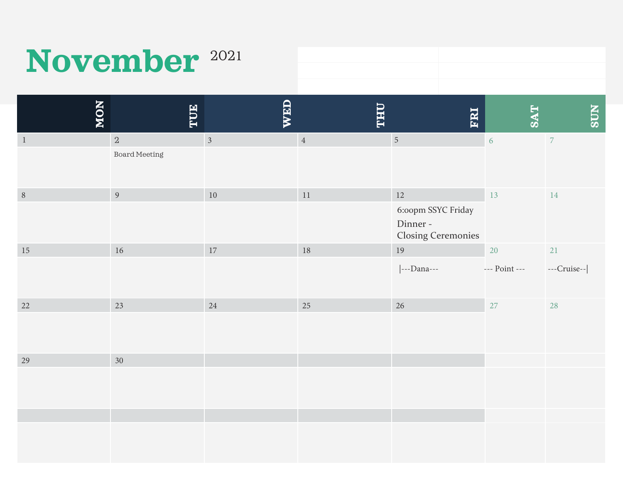# November<sup>2021</sup>

| NON          | TUE                  | WED                     | <b>LHA</b> | ERI                                                         | <b>SAT</b>    | <b>NLGS</b>    |
|--------------|----------------------|-------------------------|------------|-------------------------------------------------------------|---------------|----------------|
| $\mathbf{1}$ | $\overline{a}$       | $\overline{\mathbf{3}}$ | $\,4\,$    | $\overline{5}$                                              | 6             | $\overline{7}$ |
|              | <b>Board Meeting</b> |                         |            |                                                             |               |                |
| $8\,$        | $\overline{9}$       | $10\,$                  | $11\,$     | 12                                                          | 13            | 14             |
|              |                      |                         |            | 6:00pm SSYC Friday<br>Dinner -<br><b>Closing Ceremonies</b> |               |                |
| $15\,$       | $16\,$               | $17\,$                  | $18\,$     | $19\,$                                                      | 20            | 21             |
|              |                      |                         |            | ---Dana---                                                  | --- Point --- | ---Cruise--    |
| 22           | 23                   | 24                      | 25         | 26                                                          | 27            | 28             |
|              |                      |                         |            |                                                             |               |                |
| 29           | 30                   |                         |            |                                                             |               |                |
|              |                      |                         |            |                                                             |               |                |
|              |                      |                         |            |                                                             |               |                |
|              |                      |                         |            |                                                             |               |                |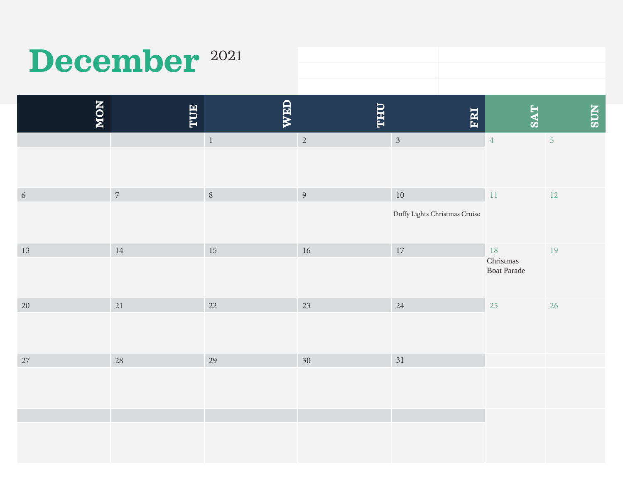# December<sup>2021</sup>

| NON        | TUE            | <b>WED</b>       | <b>THU</b>     | ERI                                     | <b>SAT</b>                            | <b>NDS</b>     |
|------------|----------------|------------------|----------------|-----------------------------------------|---------------------------------------|----------------|
|            |                | $\,1\,$          | $\sqrt{2}$     | $\mathfrak{Z}$                          | $\overline{4}$                        | $\overline{5}$ |
| $\sqrt{6}$ | $\overline{7}$ | $\boldsymbol{8}$ | $\overline{9}$ | $10\,$<br>Duffy Lights Christmas Cruise | $11\,$                                | $12\,$         |
| $13\,$     | 14             | 15               | $16\,$         | $17\,$                                  | 18<br>Christmas<br><b>Boat Parade</b> | 19             |
| $20\,$     | 21             | 22               | 23             | 24                                      | 25                                    | 26             |
| 27         | 28             | 29               | 30             | 31                                      |                                       |                |
|            |                |                  |                |                                         |                                       |                |